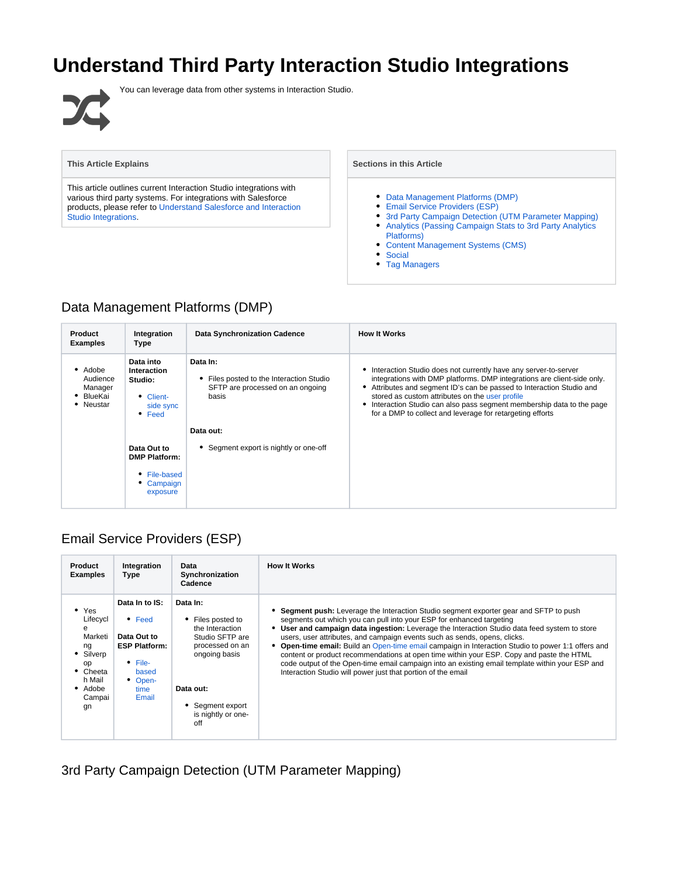# **Understand Third Party Interaction Studio Integrations**



You can leverage data from other systems in Interaction Studio.

#### **This Article Explains**

This article outlines current Interaction Studio integrations with various third party systems. For integrations with Salesforce products, please refer to [Understand Salesforce and Interaction](https://doc.evergage.com/display/EKB/Understand+Salesforce+and+Interaction+Studio+Integrations)  [Studio Integrations](https://doc.evergage.com/display/EKB/Understand+Salesforce+and+Interaction+Studio+Integrations).

**Sections in this Article**

- [Data Management Platforms \(DMP\)](#page-0-0)
- [Email Service Providers \(ESP\)](#page-0-1)
- [3rd Party Campaign Detection \(UTM Parameter Mapping\)](#page-0-2)
- [Analytics \(Passing Campaign Stats to 3rd Party Analytics](#page-1-0)  [Platforms\)](#page-1-0)
- [Content Management Systems \(CMS\)](#page-1-1)
- [Social](#page-1-2)
- [Tag Managers](#page-1-3)

#### <span id="page-0-0"></span>Data Management Platforms (DMP)

| <b>Product</b><br><b>Examples</b>                        | Integration<br>Type                                                                    | <b>Data Synchronization Cadence</b>                                                             | <b>How It Works</b>                                                                                                                                                                                                                                                                                                                                                                                       |
|----------------------------------------------------------|----------------------------------------------------------------------------------------|-------------------------------------------------------------------------------------------------|-----------------------------------------------------------------------------------------------------------------------------------------------------------------------------------------------------------------------------------------------------------------------------------------------------------------------------------------------------------------------------------------------------------|
| • Adobe<br>Audience<br>Manager<br>• BlueKai<br>• Neustar | Data into<br><b>Interaction</b><br>Studio:<br>• Client-<br>side sync<br>$\bullet$ Feed | Data In:<br>Files posted to the Interaction Studio<br>SFTP are processed on an ongoing<br>basis | Interaction Studio does not currently have any server-to-server<br>integrations with DMP platforms. DMP integrations are client-side only.<br>Attributes and segment ID's can be passed to Interaction Studio and<br>stored as custom attributes on the user profile<br>Interaction Studio can also pass segment membership data to the page<br>for a DMP to collect and leverage for retargeting efforts |
|                                                          |                                                                                        | Data out:                                                                                       |                                                                                                                                                                                                                                                                                                                                                                                                           |
|                                                          | Data Out to<br><b>DMP Platform:</b>                                                    | • Segment export is nightly or one-off                                                          |                                                                                                                                                                                                                                                                                                                                                                                                           |
|                                                          | • File-based<br>• Campaign<br>exposure                                                 |                                                                                                 |                                                                                                                                                                                                                                                                                                                                                                                                           |

### <span id="page-0-1"></span>Email Service Providers (ESP)

| <b>Product</b><br><b>Examples</b>                                                                                  | Integration<br>Type                                                                                                                        | Data<br>Synchronization<br>Cadence                                                                                                                                    | <b>How It Works</b>                                                                                                                                                                                                                                                                                                                                                                                                                                                                                                                                                                                                                                                                                                       |
|--------------------------------------------------------------------------------------------------------------------|--------------------------------------------------------------------------------------------------------------------------------------------|-----------------------------------------------------------------------------------------------------------------------------------------------------------------------|---------------------------------------------------------------------------------------------------------------------------------------------------------------------------------------------------------------------------------------------------------------------------------------------------------------------------------------------------------------------------------------------------------------------------------------------------------------------------------------------------------------------------------------------------------------------------------------------------------------------------------------------------------------------------------------------------------------------------|
| Yes<br>Lifecycl<br>e<br>Marketi<br>ng<br>Silverp<br>op<br>Cheeta<br>$\bullet$<br>h Mail<br>• Adobe<br>Campai<br>gn | Data In to IS:<br>$\bullet$ Feed<br>Data Out to<br><b>ESP Platform:</b><br>$\bullet$ File-<br>based<br>$\bullet$<br>Open-<br>time<br>Email | Data In:<br>• Files posted to<br>the Interaction<br>Studio SFTP are<br>processed on an<br>ongoing basis<br>Data out:<br>• Segment export<br>is nightly or one-<br>off | <b>Segment push:</b> Leverage the Interaction Studio segment exporter gear and SFTP to push<br>segments out which you can pull into your ESP for enhanced targeting<br>User and campaign data ingestion: Leverage the Interaction Studio data feed system to store<br>users, user attributes, and campaign events such as sends, opens, clicks.<br><b>Open-time email:</b> Build an Open-time email campaign in Interaction Studio to power 1:1 offers and<br>content or product recommendations at open time within your ESP. Copy and paste the HTML<br>code output of the Open-time email campaign into an existing email template within your ESP and<br>Interaction Studio will power just that portion of the email |

<span id="page-0-2"></span>3rd Party Campaign Detection (UTM Parameter Mapping)